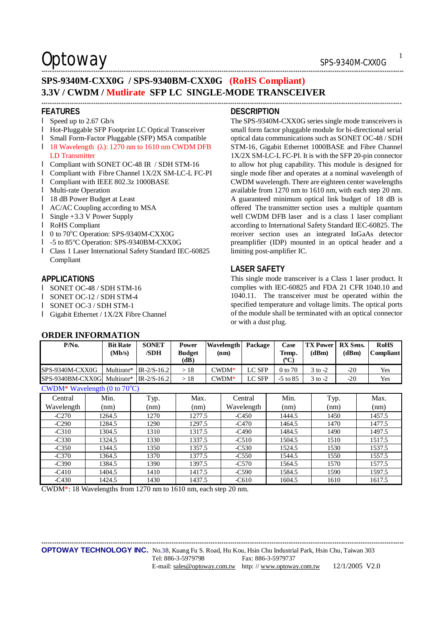## Optoway SPS-9340M-CXX0G

## **SPS-9340M-CXX0G / SPS-9340BM-CXX0G (RoHS Compliant) 3.3V / CWDM / Mutlirate SFP LC SINGLE-MODE TRANSCEIVER**  \*\*\*\*\*\*\*\*\*\*\*\*\*\*\*\*\*\*\*\*\*\*\*\*\*\*\*\*\*\*\*\*\*\*\*\*\*\*\*\*\*\*\*\*\*\*\*\*\*\*\*\*\*\*\*\*\*\*\*\*\*\*\*\*\*\*\*\*\*\*\*\*\*\*\*\*\*\*\*\*\*\*\*\*\*\*\*\*\*\*\*\*\*\*\*\*\*\*\*\*\*\*\*\*\*\*\*\*\*\*\*\*\*\*\*\*\*\*\*\*\*\*\*\*\*\*\*\*\*\*\*\*\*\*\*\*\*\*\*\*\*\*\*\*\*\*\*\*\*\*\*\*\*\*\*\*\*\*\*\*\*\*\*\*\*\*

## **FEATURES**

- l Speed up to 2.67 Gb/s
- l Hot-Pluggable SFP Footprint LC Optical Transceiver
- l Small Form-Factor Pluggable (SFP) MSA compatible

### l 18 Wavelength (λ): 1270 nm to 1610 nm CWDM DFB LD Transmitter

- l Compliant with SONET OC-48 IR / SDH STM-16
- l Compliant with Fibre Channel 1X/2X SM-LC-L FC-PI
- l Compliant with IEEE 802.3z 1000BASE
- l Multi-rate Operation
- l 18 dB Power Budget at Least
- l AC/AC Coupling according to MSA
- l Single +3.3 V Power Supply
- l RoHS Compliant
- l 0 to 70°C Operation: SPS-9340M-CXX0G
- l -5 to 85°C Operation: SPS-9340BM-CXX0G
- l Class 1 Laser International Safety Standard IEC-60825 Compliant

### **APPLICATIONS**

- l SONET OC-48 / SDH STM-16
- l SONET OC-12 / SDH STM-4
- l SONET OC-3 / SDH STM-1

**ORDER INFORMATION** 

l Gigabit Ethernet / 1X/2X Fibre Channel

## **DESCRIPTION**

\*\*\*\*\*\*\*\*\*\*\*\*\*\*\*\*\*\*\*\*\*\*\*\*\*\*\*\*\*\*\*\*\*\*\*\*\*\*\*\*\*\*\*\*\*\*\*\*\*\*\*\*\*\*\*\*\*\*\*\*\*\*\*\*\*\*\*\*\*\*\*\*\*\*\*\*\*\*\*\*\*\*\*\*\*\*\*\*\*\*\*\*\*\*\*\*\*\*\*\*\*\*\*\*\*\*\*\*\*\*\*\*\*\*\*\*\*\*\*\*\*\*\*\*\*\*\*\*\*\*\*\*\*\*\*\*\*\*\*\*\*\*\*\*\*\*\*\*\*\*\*\*\*\*\*\*\*\*\*\*\*\*\*\*\*\*\*

The SPS-9340M-CXX0G series single mode transceivers is small form factor pluggable module for bi-directional serial optical data communications such as SONET OC-48 / SDH STM-16, Gigabit Ethernet 1000BASE and Fibre Channel 1X/2X SM-LC-L FC-PI. It is with the SFP 20-pin connector to allow hot plug capability. This module is designed for single mode fiber and operates at a nominal wavelength of CWDM wavelength. There are eighteen center wavelengths available from 1270 nm to 1610 nm, with each step 20 nm. A guaranteed minimum optical link budget of 18 dB is offered The transmitter section uses a multiple quantum well CWDM DFB laser and is a class 1 laser compliant according to International Safety Standard IEC-60825. The receiver section uses an integrated InGaAs detector preamplifier (IDP) mounted in an optical header and a limiting post-amplifier IC.

## **LASER SAFETY**

This single mode transceiver is a Class 1 laser product. It complies with IEC-60825 and FDA 21 CFR 1040.10 and 1040.11. The transceiver must be operated within the specified temperature and voltage limits. The optical ports of the module shall be terminated with an optical connector or with a dust plug.

| P/No.                                       | <b>Bit Rate</b><br>(Mb/s) | <b>SONET</b><br>/SDH     | Power<br><b>Budget</b><br>(dB) | Wavelength<br>(nm) | Package | Case<br>Temp.<br>(°C) | <b>TX Power   RX Sens.</b><br>(dBm) | (dBm) | <b>RoHS</b><br><b>Compliant</b> |
|---------------------------------------------|---------------------------|--------------------------|--------------------------------|--------------------|---------|-----------------------|-------------------------------------|-------|---------------------------------|
| SPS-9340M-CXX0G                             |                           | Multirate* $IR-2/S-16.2$ | >18                            | $C WDM*$           | LC SFP  | $0 \text{ to } 70$    | $3$ to $-2$                         | $-20$ | <b>Yes</b>                      |
| $SPS-9340BM-CXX0G$ Multirate* $IR-2/S-16.2$ |                           |                          | >18                            | $CWDM*$            | LC SFP  | $-5$ to $85$          | $3$ to $-2$                         | $-20$ | Yes                             |
| CWDM* Wavelength (0 to $70^{\circ}$ C)      |                           |                          |                                |                    |         |                       |                                     |       |                                 |

### Central Wavelength Min. (nm) Typ. (nm) Max.  $(nm)$ **Central** Wavelength Min. (nm) Typ. (nm) Max. (nm) -C270 | 1264.5 | 1270 | 1277.5 | -C450 | 1444.5 | 1450 | 1457.5 -C290 | 1284.5 | 1290 | 1297.5 | -C470 | 1464.5 | 1470 | 1477.5 -C310 | 1304.5 | 1310 | 1317.5 | -C490 | 1484.5 | 1490 | 1497.5 -C330 | 1324.5 | 1330 | 1337.5 | -C510 | 1504.5 | 1510 | 1517.5 -C350 | 1344.5 | 1350 | 1357.5 | -C530 | 1524.5 | 1530 | 1537.5 -C370 | 1364.5 | 1370 | 1377.5 | -C550 | 1544.5 | 1550 | 1557.5 -C390 | 1384.5 | 1390 | 1397.5 | -C570 | 1564.5 | 1570 | 1577.5 -C410 | 1404.5 | 1410 | 1417.5 | -C590 | 1584.5 | 1590 | 1597.5 -C430 | 1424.5 | 1430 | 1437.5 | -C610 | 1604.5 | 1610 | 1617.5

CWDM\*: 18 Wavelengths from 1270 nm to 1610 nm, each step 20 nm.

\*\*\*\*\*\*\*\*\*\*\*\*\*\*\*\*\*\*\*\*\*\*\*\*\*\*\*\*\*\*\*\*\*\*\*\*\*\*\*\*\*\*\*\*\*\*\*\*\*\*\*\*\*\*\*\*\*\*\*\*\*\*\*\*\*\*\*\*\*\*\*\*\*\*\*\*\*\*\*\*\*\*\*\*\*\*\*\*\*\*\*\*\*\*\*\*\*\*\*\*\*\*\*\*\*\*\*\*\*\*\*\*\*\*\*\*\*\*\*\*\*\*\*\*\*\*\*\*\*\*\*\*\*\*\*\*\*\*\*\*\*\*\*\*\*\*\*\*\*\*\*\*\*\*\*\*\*\*\*\*\*\*\*\*\*\*\*

1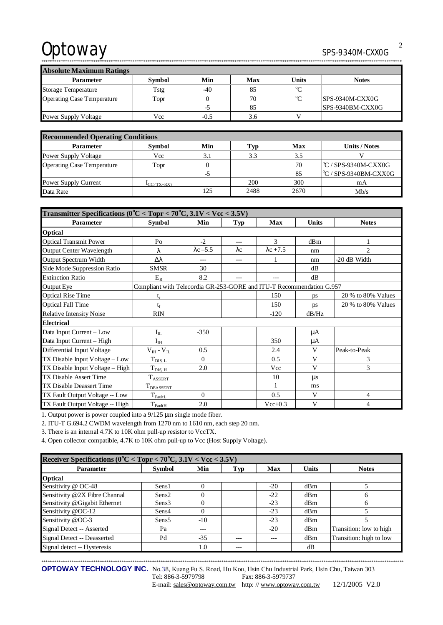# Optoway SPS-9340M-CXX0G

\*\*\*\*\*\*\*\*\*\*\*\*\*\*\*\*\*\*\*\*\*\*\*\*\*\*\*\*\*\*\*\*\*\*\*\*\*\*\*\*\*\*\*\*\*\*\*\*\*\*\*\*\*\*\*\*\*\*\*\*\*\*\*\*\*\*\*\*\*\*\*\*\*\*\*\*\*\*\*\*\*\*\*\*\*\*\*\*\*\*\*\*\*\*\*\*\*\*\*\*\*\*\*\*\*\*\*\*\*\*\*\*\*\*\*\*\*\*\*\*\*\*\*\*\*\*\*\*\*\*\*\*\*\*\*\*\*\*\*\*\*\*\*\*\*\*\*\*\*\*\*\*\*\*\*\*\*\*\*\*\*\*\*\*\*\*

**Absolute Maximum Ratings Parameter** Symbol Min Max Units Notes Storage Temperature Tstg -40 85 <sup>o</sup>C Operating Case Temperature Topr 0 -5 70 85 °C SPS-9340M-CXX0G SPS-9340BM-CXX0G Power Supply Voltage  $Vcc$  -0.5 3.6 V

| <b>Recommended Operating Conditions</b> |                                        |     |      |      |                               |  |  |
|-----------------------------------------|----------------------------------------|-----|------|------|-------------------------------|--|--|
| <b>Parameter</b>                        | <b>Symbol</b>                          | Min | Typ  | Max  | Units / Notes                 |  |  |
| <b>Power Supply Voltage</b>             | Vcc                                    | 3.1 | 3.3  | 3.5  |                               |  |  |
| <b>Operating Case Temperature</b>       | Topr                                   |     |      | 70   | $\degree$ C / SPS-9340M-CXX0G |  |  |
|                                         |                                        | -5  |      | 85   | C / SPS-9340BM-CXX0G          |  |  |
| Power Supply Current                    | $\mathbf{I}_{CC}(\text{TX}+\text{RX})$ |     | 200  | 300  | mA                            |  |  |
| Data Rate                               |                                        | 125 | 2488 | 2670 | Mb/s                          |  |  |

| Transmitter Specifications ( $0^{\circ}$ C < Topr < 70 $^{\circ}$ C, 3.1V < Vcc < 3.5V) |                                                                      |                  |             |                  |              |                    |  |
|-----------------------------------------------------------------------------------------|----------------------------------------------------------------------|------------------|-------------|------------------|--------------|--------------------|--|
| <b>Parameter</b>                                                                        | <b>Symbol</b>                                                        | Min              | Typ         | <b>Max</b>       | <b>Units</b> | <b>Notes</b>       |  |
| <b>Optical</b>                                                                          |                                                                      |                  |             |                  |              |                    |  |
| <b>Optical Transmit Power</b>                                                           | P <sub>0</sub>                                                       | $-2$             | $---$       | 3                | dBm          |                    |  |
| <b>Output Center Wavelength</b>                                                         | λ                                                                    | $\lambda$ c -5.5 | $\lambda c$ | $\lambda$ c +7.5 | nm           | $\mathfrak{D}$     |  |
| Output Spectrum Width                                                                   | Δλ                                                                   |                  | $---$       |                  | nm           | -20 dB Width       |  |
| Side Mode Suppression Ratio                                                             | <b>SMSR</b>                                                          | 30               |             |                  | dB           |                    |  |
| <b>Extinction Ratio</b>                                                                 | $E_R$                                                                | 8.2              |             |                  | dB           |                    |  |
| <b>Output Eye</b>                                                                       | Compliant with Telecordia GR-253-GORE and ITU-T Recommendation G.957 |                  |             |                  |              |                    |  |
| <b>Optical Rise Time</b>                                                                | $t_r$                                                                |                  |             | 150              | ps           | 20 % to 80% Values |  |
| <b>Optical Fall Time</b>                                                                | te                                                                   |                  |             | 150              | ps           | 20 % to 80% Values |  |
| <b>Relative Intensity Noise</b>                                                         | <b>RIN</b>                                                           |                  |             | $-120$           | dB/Hz        |                    |  |
| <b>Electrical</b>                                                                       |                                                                      |                  |             |                  |              |                    |  |
| Data Input Current - Low                                                                | $I_{IL}$                                                             | $-350$           |             |                  | μA           |                    |  |
| Data Input Current - High                                                               | $I_{IH}$                                                             |                  |             | 350              | μA           |                    |  |
| Differential Input Voltage                                                              | $V_{IH} - V_{IL}$                                                    | 0.5              |             | 2.4              | V            | Peak-to-Peak       |  |
| TX Disable Input Voltage – Low                                                          | $T_{\text{DIS, L}}$                                                  | $\Omega$         |             | 0.5              | V            | 3                  |  |
| TX Disable Input Voltage - High                                                         | $T_{\text{DIS, H}}$                                                  | 2.0              |             | Vcc              | V            | 3                  |  |
| <b>TX Disable Assert Time</b>                                                           | <b>TASSERT</b>                                                       |                  |             | 10               | $\mu$ s      |                    |  |
| <b>TX Disable Deassert Time</b>                                                         | <b>TDEASSERT</b>                                                     |                  |             | 1                | ms           |                    |  |
| TX Fault Output Voltage -- Low                                                          | $T_{\rm{FaultL}}$                                                    | $\Omega$         |             | 0.5              | V            | 4                  |  |
| TX Fault Output Voltage -- High                                                         | $T_{FaultH}$                                                         | 2.0              |             | $Vec{+}0.3$      | V            | 4                  |  |

1. Output power is power coupled into a 9/125 μm single mode fiber.

2. ITU-T G.694.2 CWDM wavelength from 1270 nm to 1610 nm, each step 20 nm.

3. There is an internal 4.7K to 10K ohm pull-up resistor to VccTX.

4. Open collector compatible, 4.7K to 10K ohm pull-up to Vcc (Host Supply Voltage).

| Receiver Specifications ( $0^{\circ}$ C < Topr < 70 $^{\circ}$ C, 3.1V < Vcc < 3.5V) |                   |       |       |       |              |                         |  |  |
|--------------------------------------------------------------------------------------|-------------------|-------|-------|-------|--------------|-------------------------|--|--|
| <b>Parameter</b>                                                                     | Symbol            | Min   | Typ   | Max   | <b>Units</b> | <b>Notes</b>            |  |  |
| <b>Optical</b>                                                                       |                   |       |       |       |              |                         |  |  |
| Sensitivity @ OC-48                                                                  | Sens1             |       |       | $-20$ | dBm          |                         |  |  |
| Sensitivity @2X Fibre Channal                                                        | Sens2             |       |       | $-22$ | dBm          |                         |  |  |
| Sensitivity @Gigabit Ethernet                                                        | Sens3             |       |       | $-23$ | dBm          | 6                       |  |  |
| Sensitivity @OC-12                                                                   | Sens4             |       |       | $-23$ | dBm          |                         |  |  |
| Sensitivity @OC-3                                                                    | Sens <sub>5</sub> | $-10$ |       | $-23$ | dBm          |                         |  |  |
| Signal Detect -- Asserted                                                            | Pa                | ---   |       | $-20$ | dBm          | Transition: low to high |  |  |
| Signal Detect -- Deasserted                                                          | Pd                | $-35$ | $---$ | ---   | dBm          | Transition: high to low |  |  |
| Signal detect -- Hysteresis                                                          |                   | 1.0   |       |       | dB           |                         |  |  |

\*\*\*\*\*\*\*\*\*\*\*\*\*\*\*\*\*\*\*\*\*\*\*\*\*\*\*\*\*\*\*\*\*\*\*\*\*\*\*\*\*\*\*\*\*\*\*\*\*\*\*\*\*\*\*\*\*\*\*\*\*\*\*\*\*\*\*\*\*\*\*\*\*\*\*\*\*\*\*\*\*\*\*\*\*\*\*\*\*\*\*\*\*\*\*\*\*\*\*\*\*\*\*\*\*\*\*\*\*\*\*\*\*\*\*\*\*\*\*\*\*\*\*\*\*\*\*\*\*\*\*\*\*\*\*\*\*\*\*\*\*\*\*\*\*\*\*\*\*\*\*\*\*\*\*\*\*\*\*\*\*\*\*\*\*\*\* **OPTOWAY TECHNOLOGY INC.** No.38, Kuang Fu S. Road, Hu Kou, Hsin Chu Industrial Park, Hsin Chu, Taiwan 303

Tel: 886-3-5979798 Fax: 886-3-5979737

E-mail: [sales@optoway.com.tw](mailto:sales@optoway.com.tw) http: // [www.optoway.com.tw](http://www.optoway.com.tw) 12/1/2005 V2.0

2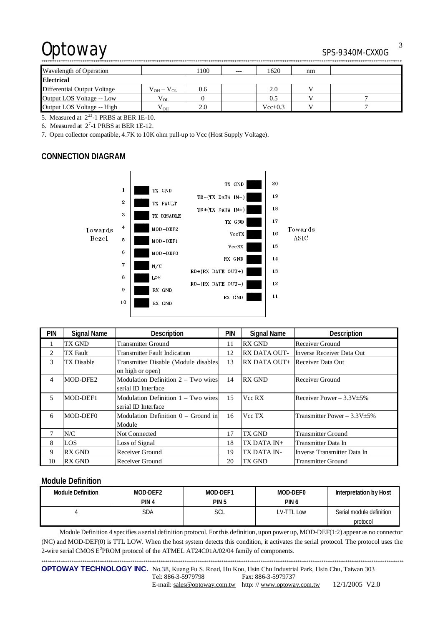## Optoway SPS-9340M-CXX0G

| -                           |                    |     |       |             |    |  |  |
|-----------------------------|--------------------|-----|-------|-------------|----|--|--|
| Wavelength of Operation     |                    | 100 | $---$ | 1620        | nm |  |  |
| <b>Electrical</b>           |                    |     |       |             |    |  |  |
| Differential Output Voltage | $V_{OH} - V_{OL}$  | 0.6 |       | 2.0         |    |  |  |
| Output LOS Voltage -- Low   | <sup>V</sup> OL    |     |       | 0.5         |    |  |  |
| Output LOS Voltage -- High  | ${\rm v}_{\rm OH}$ | 2.0 |       | $Vec{+}0.3$ |    |  |  |

5. Measured at  $2^{23}$ -1 PRBS at BER 1E-10.

6. Measured at  $2^7$ -1 PRBS at BER 1E-12.

7. Open collector compatible, 4.7K to 10K ohm pull-up to Vcc (Host Supply Voltage).

## **CONNECTION DIAGRAM**



| <b>PIN</b>     | <b>Signal Name</b> | Description                           | pin | <b>Signal Name</b>                    | Description                       |
|----------------|--------------------|---------------------------------------|-----|---------------------------------------|-----------------------------------|
|                | TX GND             | <b>Transmitter Ground</b>             | 11  | <b>RX GND</b>                         | Receiver Ground                   |
| 2              | TX Fault           | <b>Transmitter Fault Indication</b>   | 12  | <b>RX DATA OUT-</b>                   | Inverse Receiver Data Out         |
| 3              | TX Disable         | Transmitter Disable (Module disables  | 13  | <b>RX DATA OUT+</b> Receiver Data Out |                                   |
|                |                    | on high or open)                      |     |                                       |                                   |
| 4              | MOD-DFE2           | Modulation Definition $2 - Two wires$ | 14  | <b>RX GND</b>                         | Receiver Ground                   |
|                |                    | serial ID Interface                   |     |                                       |                                   |
| $\overline{5}$ | MOD-DEF1           | Modulation Definition $1 - Two wires$ | 15  | Vcc RX                                | Receiver Power $-3.3V \pm 5\%$    |
|                |                    | serial ID Interface                   |     |                                       |                                   |
| 6              | MOD-DEF0           | Modulation Definition $0 -$ Ground in | 16  | Vcc TX                                | Transmitter Power $-3.3V \pm 5\%$ |
|                |                    | Module                                |     |                                       |                                   |
| 7              | N/C                | <b>Not Connected</b>                  | 17  | TX GND                                | <b>Transmitter Ground</b>         |
| 8              | LOS                | Loss of Signal                        | 18  | TX DATA IN+                           | Transmitter Data In               |
| 9              | <b>RX GND</b>      | Receiver Ground                       | 19  | TX DATA IN-                           | Inverse Transmitter Data In       |
| 10             | <b>RX GND</b>      | Receiver Ground                       | 20  | TX GND                                | Transmitter Ground                |

## **Module Definition**

| Module Definition | MOD-DEF2         | MOD-DEF1         | MOD-DEF0         | Interpretation by Host   |
|-------------------|------------------|------------------|------------------|--------------------------|
|                   | PIN <sub>4</sub> | PIN <sub>5</sub> | PIN <sub>6</sub> |                          |
|                   | SDA              | SCL              | LV-TTL Low       | Serial module definition |
|                   |                  |                  |                  | protocol                 |

Module Definition 4 specifies a serial definition protocol. For this definition, upon power up, MOD-DEF(1:2) appear as no connector (NC) and MOD-DEF(0) is TTL LOW. When the host system detects this condition, it activates the serial protocol. The protocol uses the 2-wire serial CMOS E<sup>2</sup>PROM protocol of the ATMEL AT24C01A/02/04 family of components.

\*\*\*\*\*\*\*\*\*\*\*\*\*\*\*\*\*\*\*\*\*\*\*\*\*\*\*\*\*\*\*\*\*\*\*\*\*\*\*\*\*\*\*\*\*\*\*\*\*\*\*\*\*\*\*\*\*\*\*\*\*\*\*\*\*\*\*\*\*\*\*\*\*\*\*\*\*\*\*\*\*\*\*\*\*\*\*\*\*\*\*\*\*\*\*\*\*\*\*\*\*\*\*\*\*\*\*\*\*\*\*\*\*\*\*\*\*\*\*\*\*\*\*\*\*\*\*\*\*\*\*\*\*\*\*\*\*\*\*\*\*\*\*\*\*\*\*\*\*\*\*\*\*\*\*\*\*\*\*\*\*\*\*\*\*\*\* **OPTOWAY TECHNOLOGY INC.** No.38, Kuang Fu S. Road, Hu Kou, Hsin Chu Industrial Park, Hsin Chu, Taiwan 303 Tel: 886-3-5979798 Fax: 886-3-5979737 E-mail: [sales@optoway.com.tw](mailto:sales@optoway.com.tw) http: // [www.optoway.com.tw](http://www.optoway.com.tw) 12/1/2005 V2.0

3